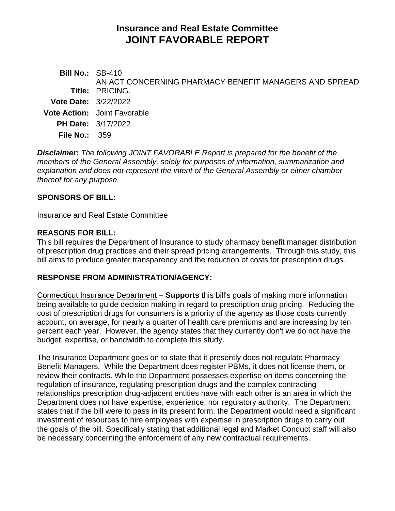# **Insurance and Real Estate Committee JOINT FAVORABLE REPORT**

| <b>Bill No.: SB-410</b>     | AN ACT CONCERNING PHARMACY BENEFIT MANAGERS AND SPREAD |
|-----------------------------|--------------------------------------------------------|
|                             | <b>Title: PRICING.</b>                                 |
| <b>Vote Date: 3/22/2022</b> |                                                        |
|                             | <b>Vote Action:</b> Joint Favorable                    |
|                             | <b>PH Date: 3/17/2022</b>                              |
| File No.: $359$             |                                                        |
|                             |                                                        |

*Disclaimer: The following JOINT FAVORABLE Report is prepared for the benefit of the members of the General Assembly, solely for purposes of information, summarization and explanation and does not represent the intent of the General Assembly or either chamber thereof for any purpose.*

#### **SPONSORS OF BILL:**

Insurance and Real Estate Committee

#### **REASONS FOR BILL:**

This bill requires the Department of Insurance to study pharmacy benefit manager distribution of prescription drug practices and their spread pricing arrangements. Through this study, this bill aims to produce greater transparency and the reduction of costs for prescription drugs.

#### **RESPONSE FROM ADMINISTRATION/AGENCY:**

Connecticut Insurance Department – **Supports** this bill's goals of making more information being available to guide decision making in regard to prescription drug pricing. Reducing the cost of prescription drugs for consumers is a priority of the agency as those costs currently account, on average, for nearly a quarter of health care premiums and are increasing by ten percent each year. However, the agency states that they currently don't we do not have the budget, expertise, or bandwidth to complete this study.

The Insurance Department goes on to state that it presently does not regulate Pharmacy Benefit Managers. While the Department does register PBMs, it does not license them, or review their contracts. While the Department possesses expertise on items concerning the regulation of insurance, regulating prescription drugs and the complex contracting relationships prescription drug-adjacent entities have with each other is an area in which the Department does not have expertise, experience, nor regulatory authority. The Department states that if the bill were to pass in its present form, the Department would need a significant investment of resources to hire employees with expertise in prescription drugs to carry out the goals of the bill. Specifically stating that additional legal and Market Conduct staff will also be necessary concerning the enforcement of any new contractual requirements.